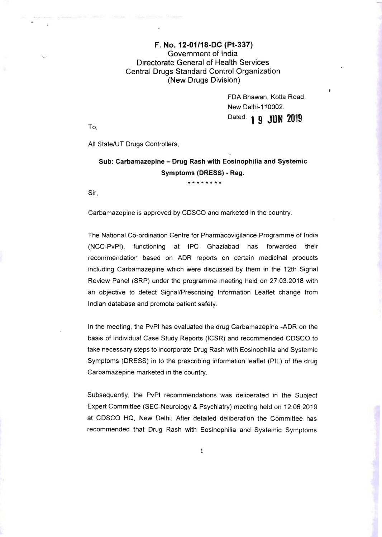## F. No. 12-01/18-DC (Pt-337) Government of India Directorate General of Health Services Central Drugs Standard Control Organization (New Drugs Division)

FDA Bhawan, Kotla Road, New Delhi-110002. Dated: 1 **9 JUN 2019** 

To,

All State/UT Drugs Controllers,

## Sub: Carbamazepine - Drug Rash with Eosinophilia and Systemic Symptoms (DRESS) - Reg.

**\*\*\*\*\*\*\*\*** 

Sir,

Carbamazepine is approved by CDSCO and marketed in the country.

The National Co-ordination Centre for Pharmacovigilance Programme of India (NCC-PvPI), functioning at IPC Ghaziabad has forwarded their recommendation based on ADR reports on certain medicinal products including Carbamazepine which were discussed by them in the 12th Signal Review Panel (SRP) under the programme meeting held on 27.03.2018 with an objective to detect Signal/Prescribing Information Leaflet change from Indian database and promote patient safety.

In the meeting, the PvPI has evaluated the drug Carbamazepine -ADR on the basis of Individual Case Study Reports (ICSR) and recommended CDSCO to take necessary steps to incorporate Drug Rash with Eosinophilia and Systemic Symptoms (DRESS) in to the prescribing information leaflet (PIL) of the drug Carbamazepine marketed in the country.

Subsequently, the PvPI recommendations was deliberated in the Subject Expert Committee (SEC-Neurology & Psychiatry) meeting held on 12.06.2019 at CDSCO HQ, New Delhi. After detailed deliberation the Committee has recommended that Drug Rash with Eosinophilia and Systemic Symptoms